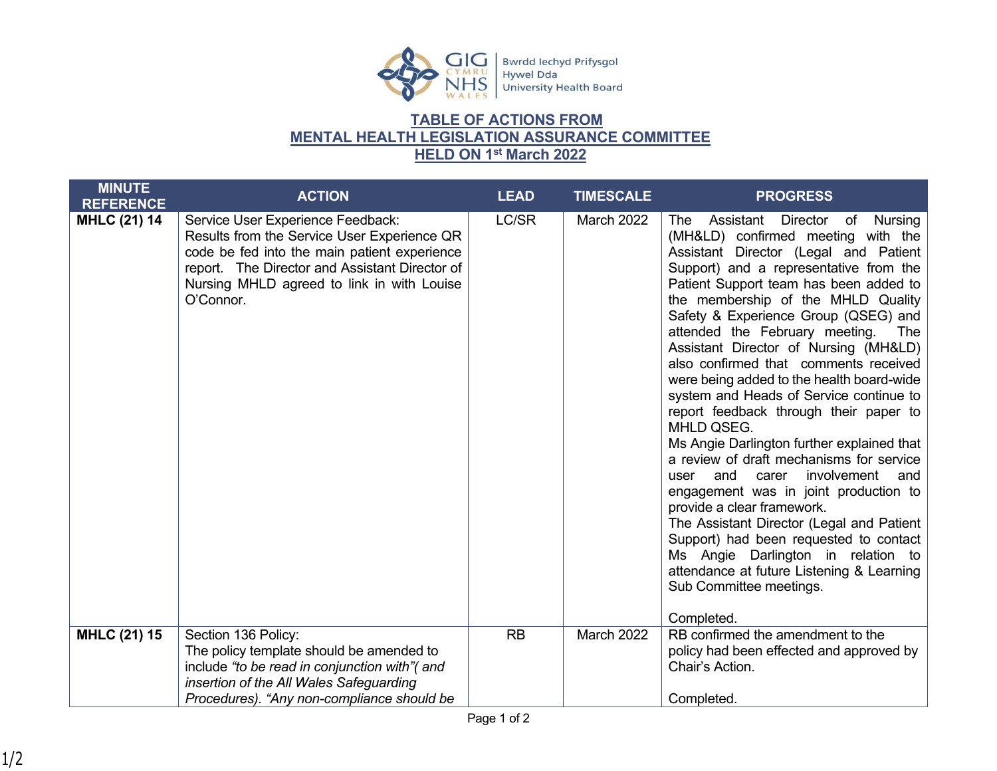

## **TABLE OF ACTIONS FROM MENTAL HEALTH LEGISLATION ASSURANCE COMMITTEE HELD ON 1st March 2022**

| <b>MINUTE</b><br><b>REFERENCE</b> | <b>ACTION</b>                                                                                                                                                                                                                                 | <b>LEAD</b> | <b>TIMESCALE</b>  | <b>PROGRESS</b>                                                                                                                                                                                                                                                                                                                                                                                                                                                                                                                                                                                                                                                                                                                                                                                                                                                                                                                                                                                          |
|-----------------------------------|-----------------------------------------------------------------------------------------------------------------------------------------------------------------------------------------------------------------------------------------------|-------------|-------------------|----------------------------------------------------------------------------------------------------------------------------------------------------------------------------------------------------------------------------------------------------------------------------------------------------------------------------------------------------------------------------------------------------------------------------------------------------------------------------------------------------------------------------------------------------------------------------------------------------------------------------------------------------------------------------------------------------------------------------------------------------------------------------------------------------------------------------------------------------------------------------------------------------------------------------------------------------------------------------------------------------------|
| <b>MHLC (21) 14</b>               | Service User Experience Feedback:<br>Results from the Service User Experience QR<br>code be fed into the main patient experience<br>report. The Director and Assistant Director of<br>Nursing MHLD agreed to link in with Louise<br>O'Connor. | LC/SR       | <b>March 2022</b> | The Assistant<br>Director<br>of<br>Nursing<br>(MH&LD) confirmed meeting with the<br>Assistant Director (Legal and Patient<br>Support) and a representative from the<br>Patient Support team has been added to<br>the membership of the MHLD Quality<br>Safety & Experience Group (QSEG) and<br>attended the February meeting.<br>The<br>Assistant Director of Nursing (MH&LD)<br>also confirmed that comments received<br>were being added to the health board-wide<br>system and Heads of Service continue to<br>report feedback through their paper to<br>MHLD QSEG.<br>Ms Angie Darlington further explained that<br>a review of draft mechanisms for service<br>involvement<br>and<br>and<br>carer<br>user<br>engagement was in joint production to<br>provide a clear framework.<br>The Assistant Director (Legal and Patient<br>Support) had been requested to contact<br>Ms Angie Darlington in relation to<br>attendance at future Listening & Learning<br>Sub Committee meetings.<br>Completed. |
| <b>MHLC (21) 15</b>               | Section 136 Policy:<br>The policy template should be amended to<br>include "to be read in conjunction with" (and<br>insertion of the All Wales Safeguarding<br>Procedures). "Any non-compliance should be                                     | <b>RB</b>   | March 2022        | RB confirmed the amendment to the<br>policy had been effected and approved by<br>Chair's Action.<br>Completed.                                                                                                                                                                                                                                                                                                                                                                                                                                                                                                                                                                                                                                                                                                                                                                                                                                                                                           |